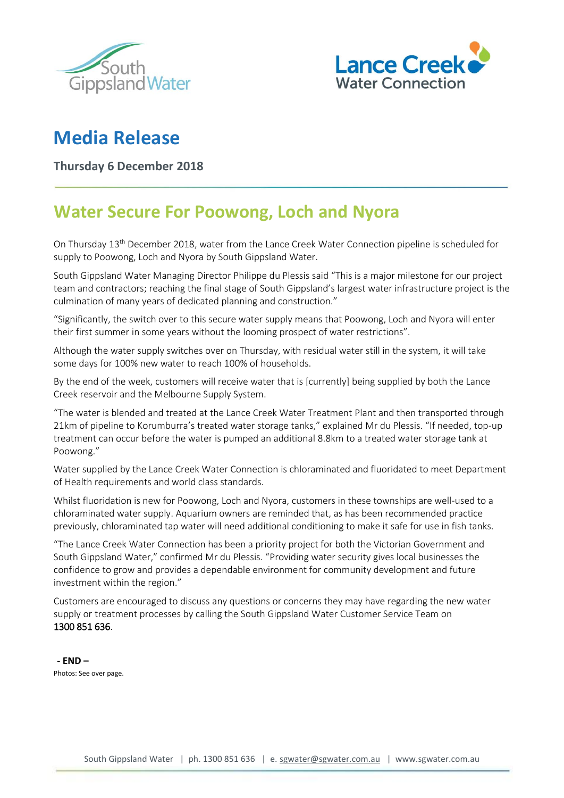



## **Media Release**

**Thursday 6 December 2018**

## **Water Secure For Poowong, Loch and Nyora**

On Thursday 13<sup>th</sup> December 2018, water from the Lance Creek Water Connection pipeline is scheduled for supply to Poowong, Loch and Nyora by South Gippsland Water.

South Gippsland Water Managing Director Philippe du Plessis said "This is a major milestone for our project team and contractors; reaching the final stage of South Gippsland's largest water infrastructure project is the culmination of many years of dedicated planning and construction."

"Significantly, the switch over to this secure water supply means that Poowong, Loch and Nyora will enter their first summer in some years without the looming prospect of water restrictions".

Although the water supply switches over on Thursday, with residual water still in the system, it will take some days for 100% new water to reach 100% of households.

By the end of the week, customers will receive water that is [currently] being supplied by both the Lance Creek reservoir and the Melbourne Supply System.

"The water is blended and treated at the Lance Creek Water Treatment Plant and then transported through 21km of pipeline to Korumburra's treated water storage tanks," explained Mr du Plessis. "If needed, top-up treatment can occur before the water is pumped an additional 8.8km to a treated water storage tank at Poowong."

Water supplied by the Lance Creek Water Connection is chloraminated and fluoridated to meet Department of Health requirements and world class standards.

Whilst fluoridation is new for Poowong, Loch and Nyora, customers in these townships are well-used to a chloraminated water supply. Aquarium owners are reminded that, as has been recommended practice previously, chloraminated tap water will need additional conditioning to make it safe for use in fish tanks.

"The Lance Creek Water Connection has been a priority project for both the Victorian Government and South Gippsland Water," confirmed Mr du Plessis. "Providing water security gives local businesses the confidence to grow and provides a dependable environment for community development and future investment within the region."

Customers are encouraged to discuss any questions or concerns they may have regarding the new water supply or treatment processes by calling the South Gippsland Water Customer Service Team on 1300 851 636.

**- END –** Photos: See over page.